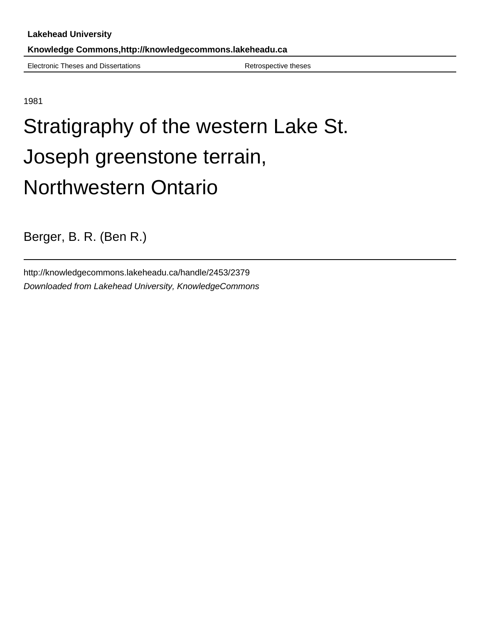Electronic Theses and Dissertations **Retrospective theses** Retrospective theses

1981

## Stratigraphy of the western Lake St. Joseph greenstone terrain, Northwestern Ontario

Berger, B. R. (Ben R.)

http://knowledgecommons.lakeheadu.ca/handle/2453/2379 Downloaded from Lakehead University, KnowledgeCommons